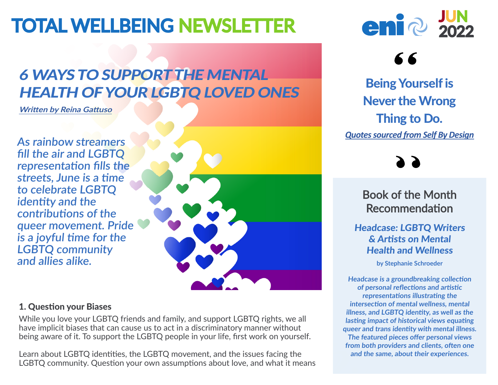# TOTAL WELLBEING NEWSLETTER **Eni**ep

### 6 WAYS TO SUPPORT THE MENTAL HEALTH OF YOUR LGBTQ LOVED ONES

**[Written](https://www.talkspace.com/blog/ways-to-support-mental-health-lgbt-loved-ones/) [by](https://www.talkspace.com/blog/ways-to-support-mental-health-lgbt-loved-ones/) [Reina](https://www.talkspace.com/blog/ways-to-support-mental-health-lgbt-loved-ones/) [Gattuso](https://www.talkspace.com/blog/ways-to-support-mental-health-lgbt-loved-ones/)**

**As rainbow streamers fill the air and LGBTQ representation fills the streets, June is a time to celebrate LGBTQ identity and the contributions of the queer movement. Pride is a joyful time for the LGBTQ community and allies alike.**



#### 1. Question your Biases

While you love your LGBTQ friends and family, and support LGBTQ rights, we all have implicit biases that can cause us to act in a discriminatory manner without being aware of it. To support the LGBTQ people in your life, first work on yourself.

Learn about LGBTQ identities, the LGBTQ movement, and the issues facing the LGBTQ community. Question your own assumptions about love, and what it means



## 66

Being Yourself is Never the Wrong Thing to Do. *[Quotes sourced from Self By Design](https://www.selfbydesign.com/)*

Book of the Month Recommendation

#### Headcase: LGBTQ Writers & Artists on Mental Health and Wellness

**by Stephanie Schroeder** 

**Headcase is a groundbreaking collection of personal reflections and artistic representations illustrating the intersection of mental wellness, mental illness, and LGBTQ identity, as well as the lasting impact of historical views equating queer and trans identity with mental illness. The featured pieces offer personal views from both providers and clients, often one and the same, about their experiences.**